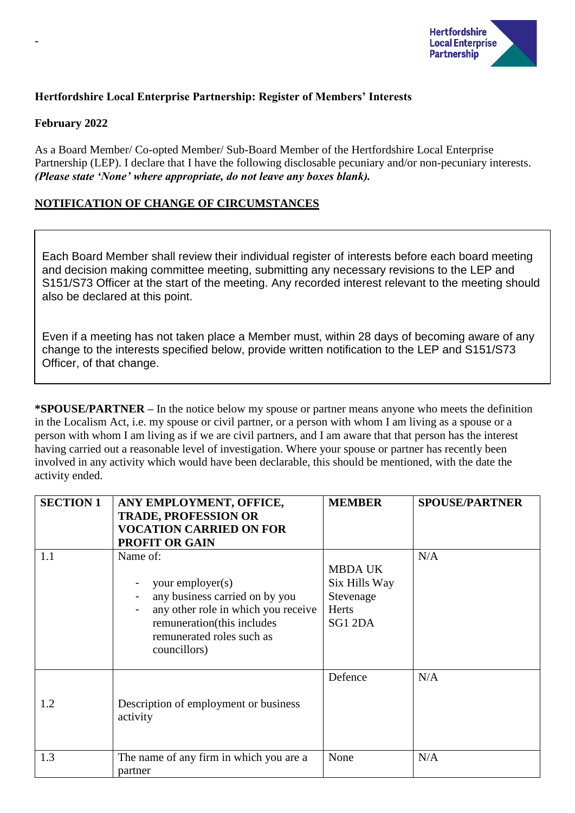

## **Hertfordshire Local Enterprise Partnership: Register of Members' Interests**

#### **February 2022**

-

As a Board Member/ Co-opted Member/ Sub-Board Member of the Hertfordshire Local Enterprise Partnership (LEP). I declare that I have the following disclosable pecuniary and/or non-pecuniary interests. *(Please state 'None' where appropriate, do not leave any boxes blank).*

## **NOTIFICATION OF CHANGE OF CIRCUMSTANCES**

Each Board Member shall review their individual register of interests before each board meeting and decision making committee meeting, submitting any necessary revisions to the LEP and S151/S73 Officer at the start of the meeting. Any recorded interest relevant to the meeting should also be declared at this point.

Even if a meeting has not taken place a Member must, within 28 days of becoming aware of any change to the interests specified below, provide written notification to the LEP and S151/S73 Officer, of that change.

**\*SPOUSE/PARTNER –** In the notice below my spouse or partner means anyone who meets the definition in the Localism Act, i.e. my spouse or civil partner, or a person with whom I am living as a spouse or a person with whom I am living as if we are civil partners, and I am aware that that person has the interest having carried out a reasonable level of investigation. Where your spouse or partner has recently been involved in any activity which would have been declarable, this should be mentioned, with the date the activity ended.

| <b>SECTION 1</b> | ANY EMPLOYMENT, OFFICE,<br><b>TRADE, PROFESSION OR</b><br><b>VOCATION CARRIED ON FOR</b><br><b>PROFIT OR GAIN</b>                                                                | <b>MEMBER</b>                                                           | <b>SPOUSE/PARTNER</b> |
|------------------|----------------------------------------------------------------------------------------------------------------------------------------------------------------------------------|-------------------------------------------------------------------------|-----------------------|
| 1.1              | Name of:<br>your employer(s)<br>any business carried on by you<br>any other role in which you receive<br>remuneration(this includes<br>remunerated roles such as<br>councillors) | <b>MBDA UK</b><br>Six Hills Way<br>Stevenage<br><b>Herts</b><br>SG1 2DA | N/A                   |
| 1.2              | Description of employment or business<br>activity                                                                                                                                | Defence                                                                 | N/A                   |
| 1.3              | The name of any firm in which you are a<br>partner                                                                                                                               | None                                                                    | N/A                   |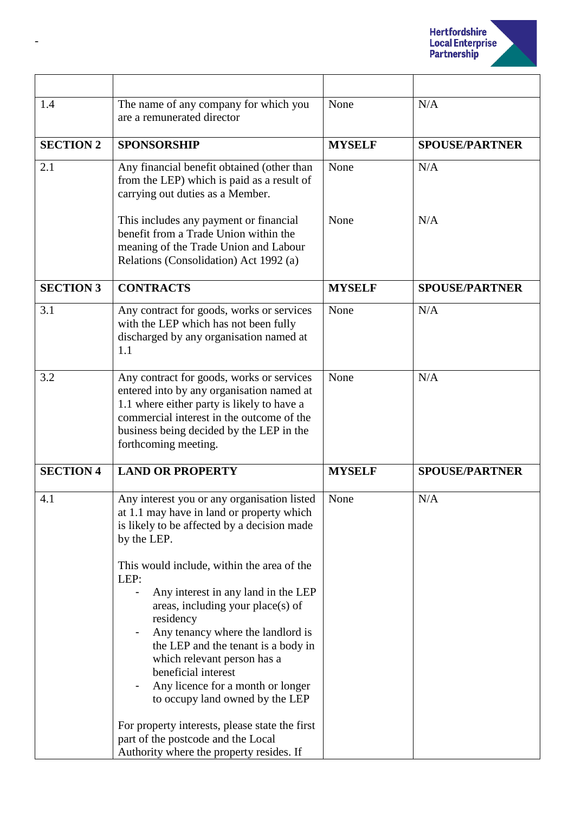

| 1.4              | The name of any company for which you<br>are a remunerated director                                                                                                                                                                                                                                                                                                                                                                                                                                                                                                                                     | None          | N/A                   |
|------------------|---------------------------------------------------------------------------------------------------------------------------------------------------------------------------------------------------------------------------------------------------------------------------------------------------------------------------------------------------------------------------------------------------------------------------------------------------------------------------------------------------------------------------------------------------------------------------------------------------------|---------------|-----------------------|
| <b>SECTION 2</b> | <b>SPONSORSHIP</b>                                                                                                                                                                                                                                                                                                                                                                                                                                                                                                                                                                                      | <b>MYSELF</b> | <b>SPOUSE/PARTNER</b> |
| 2.1              | Any financial benefit obtained (other than<br>from the LEP) which is paid as a result of<br>carrying out duties as a Member.                                                                                                                                                                                                                                                                                                                                                                                                                                                                            | None          | N/A                   |
|                  | This includes any payment or financial<br>benefit from a Trade Union within the<br>meaning of the Trade Union and Labour<br>Relations (Consolidation) Act 1992 (a)                                                                                                                                                                                                                                                                                                                                                                                                                                      | None          | N/A                   |
| <b>SECTION 3</b> | <b>CONTRACTS</b>                                                                                                                                                                                                                                                                                                                                                                                                                                                                                                                                                                                        | <b>MYSELF</b> | <b>SPOUSE/PARTNER</b> |
| 3.1              | Any contract for goods, works or services<br>with the LEP which has not been fully<br>discharged by any organisation named at<br>1.1                                                                                                                                                                                                                                                                                                                                                                                                                                                                    | None          | N/A                   |
| 3.2              | Any contract for goods, works or services<br>entered into by any organisation named at<br>1.1 where either party is likely to have a<br>commercial interest in the outcome of the<br>business being decided by the LEP in the<br>forthcoming meeting.                                                                                                                                                                                                                                                                                                                                                   | None          | N/A                   |
| <b>SECTION 4</b> | <b>LAND OR PROPERTY</b>                                                                                                                                                                                                                                                                                                                                                                                                                                                                                                                                                                                 | <b>MYSELF</b> | <b>SPOUSE/PARTNER</b> |
| 4.1              | Any interest you or any organisation listed<br>at 1.1 may have in land or property which<br>is likely to be affected by a decision made<br>by the LEP.<br>This would include, within the area of the<br>LEP:<br>Any interest in any land in the LEP<br>areas, including your place(s) of<br>residency<br>Any tenancy where the landlord is<br>the LEP and the tenant is a body in<br>which relevant person has a<br>beneficial interest<br>Any licence for a month or longer<br>to occupy land owned by the LEP<br>For property interests, please state the first<br>part of the postcode and the Local | None          | N/A                   |
|                  | Authority where the property resides. If                                                                                                                                                                                                                                                                                                                                                                                                                                                                                                                                                                |               |                       |

-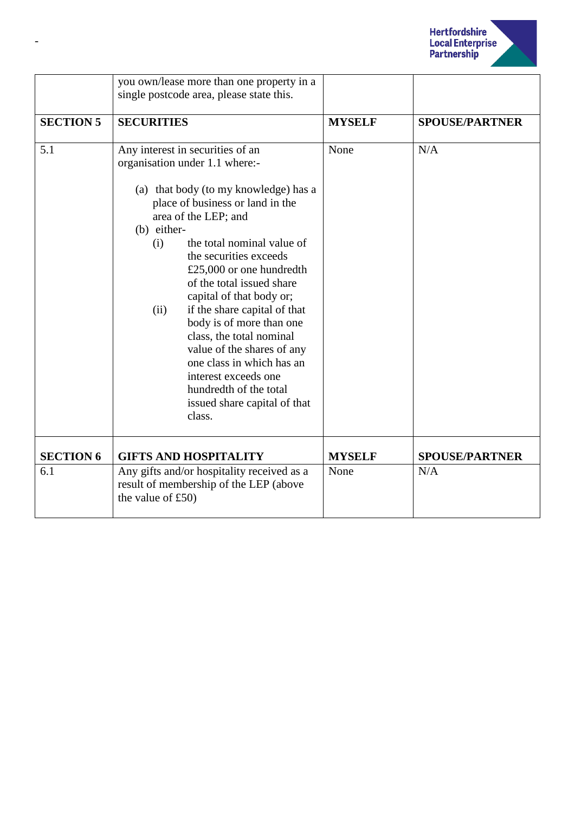

|                  | you own/lease more than one property in a<br>single postcode area, please state this.                                                                                                                                                                                                                                                                                                                                                                                                                                                                                                             |               |                       |
|------------------|---------------------------------------------------------------------------------------------------------------------------------------------------------------------------------------------------------------------------------------------------------------------------------------------------------------------------------------------------------------------------------------------------------------------------------------------------------------------------------------------------------------------------------------------------------------------------------------------------|---------------|-----------------------|
| <b>SECTION 5</b> | <b>SECURITIES</b>                                                                                                                                                                                                                                                                                                                                                                                                                                                                                                                                                                                 | <b>MYSELF</b> | <b>SPOUSE/PARTNER</b> |
| 5.1              | Any interest in securities of an<br>organisation under 1.1 where:-<br>(a) that body (to my knowledge) has a<br>place of business or land in the<br>area of the LEP; and<br>(b) either-<br>the total nominal value of<br>(i)<br>the securities exceeds<br>£25,000 or one hundredth<br>of the total issued share<br>capital of that body or;<br>if the share capital of that<br>(ii)<br>body is of more than one<br>class, the total nominal<br>value of the shares of any<br>one class in which has an<br>interest exceeds one<br>hundredth of the total<br>issued share capital of that<br>class. | None          | N/A                   |
| <b>SECTION 6</b> | <b>GIFTS AND HOSPITALITY</b>                                                                                                                                                                                                                                                                                                                                                                                                                                                                                                                                                                      | <b>MYSELF</b> | <b>SPOUSE/PARTNER</b> |
| 6.1              | Any gifts and/or hospitality received as a<br>result of membership of the LEP (above<br>the value of $£50)$                                                                                                                                                                                                                                                                                                                                                                                                                                                                                       | None          | N/A                   |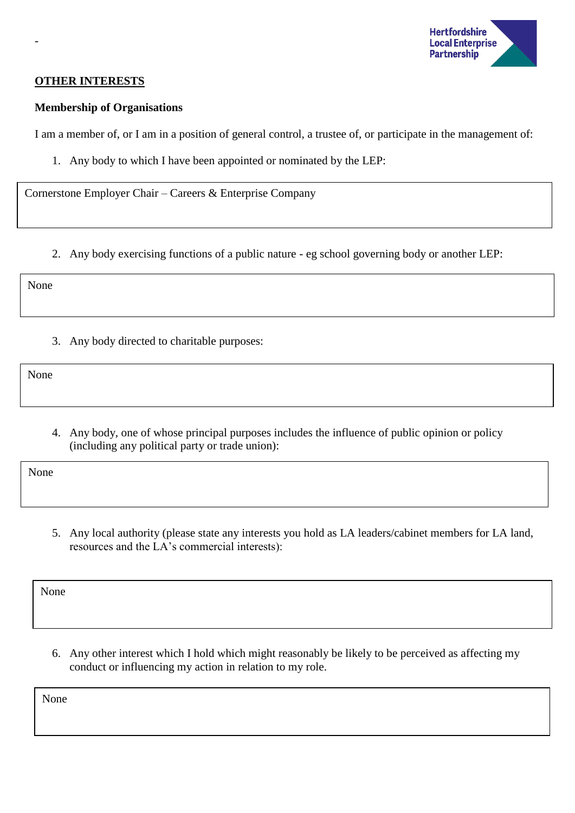

### **OTHER INTERESTS**

-

### **Membership of Organisations**

I am a member of, or I am in a position of general control, a trustee of, or participate in the management of:

1. Any body to which I have been appointed or nominated by the LEP:

Cornerstone Employer Chair – Careers & Enterprise Company

2. Any body exercising functions of a public nature - eg school governing body or another LEP:

None

3. Any body directed to charitable purposes:

None

4. Any body, one of whose principal purposes includes the influence of public opinion or policy (including any political party or trade union):

None

5. Any local authority (please state any interests you hold as LA leaders/cabinet members for LA land, resources and the LA's commercial interests):

None

6. Any other interest which I hold which might reasonably be likely to be perceived as affecting my conduct or influencing my action in relation to my role.

None